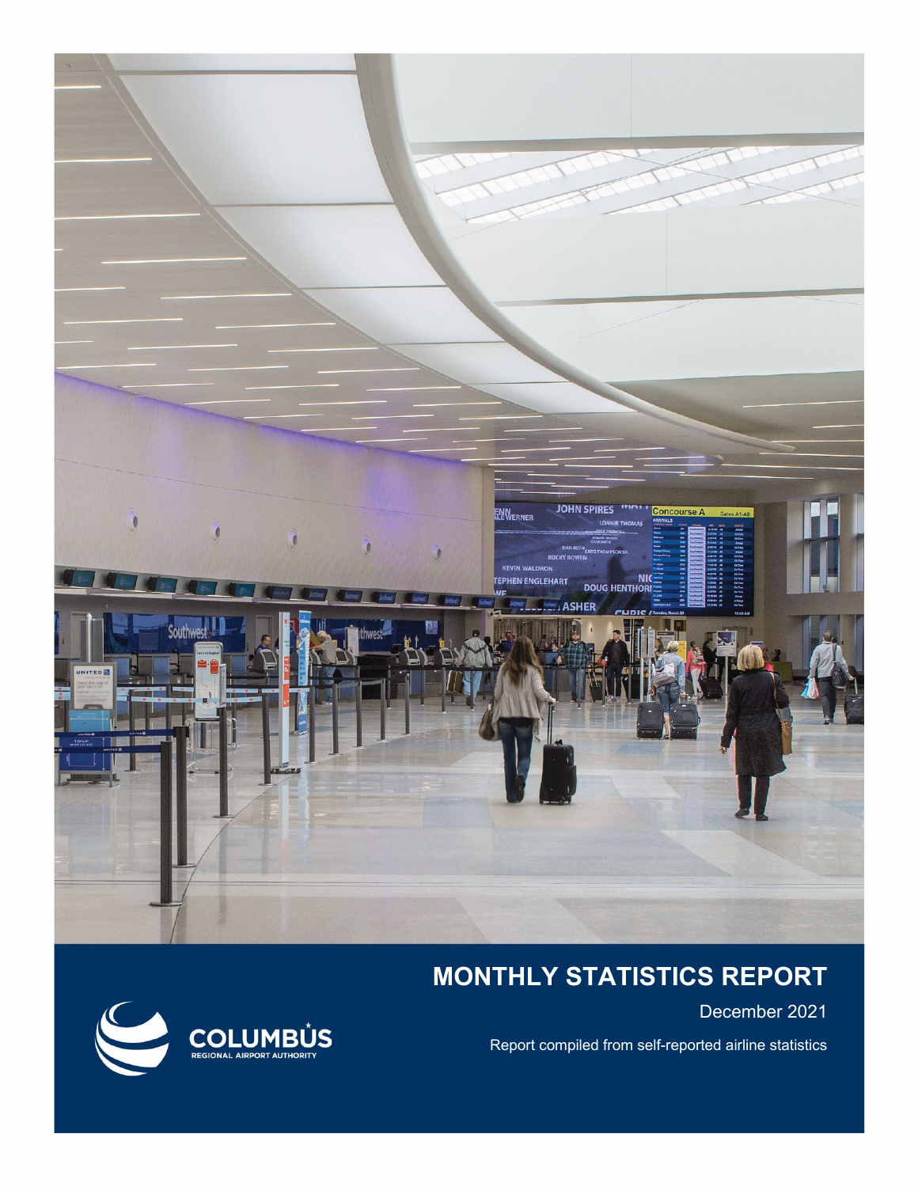

# **MONTHLY STATISTICS REPORT**

December 2021

Report compiled from self-reported airline statistics

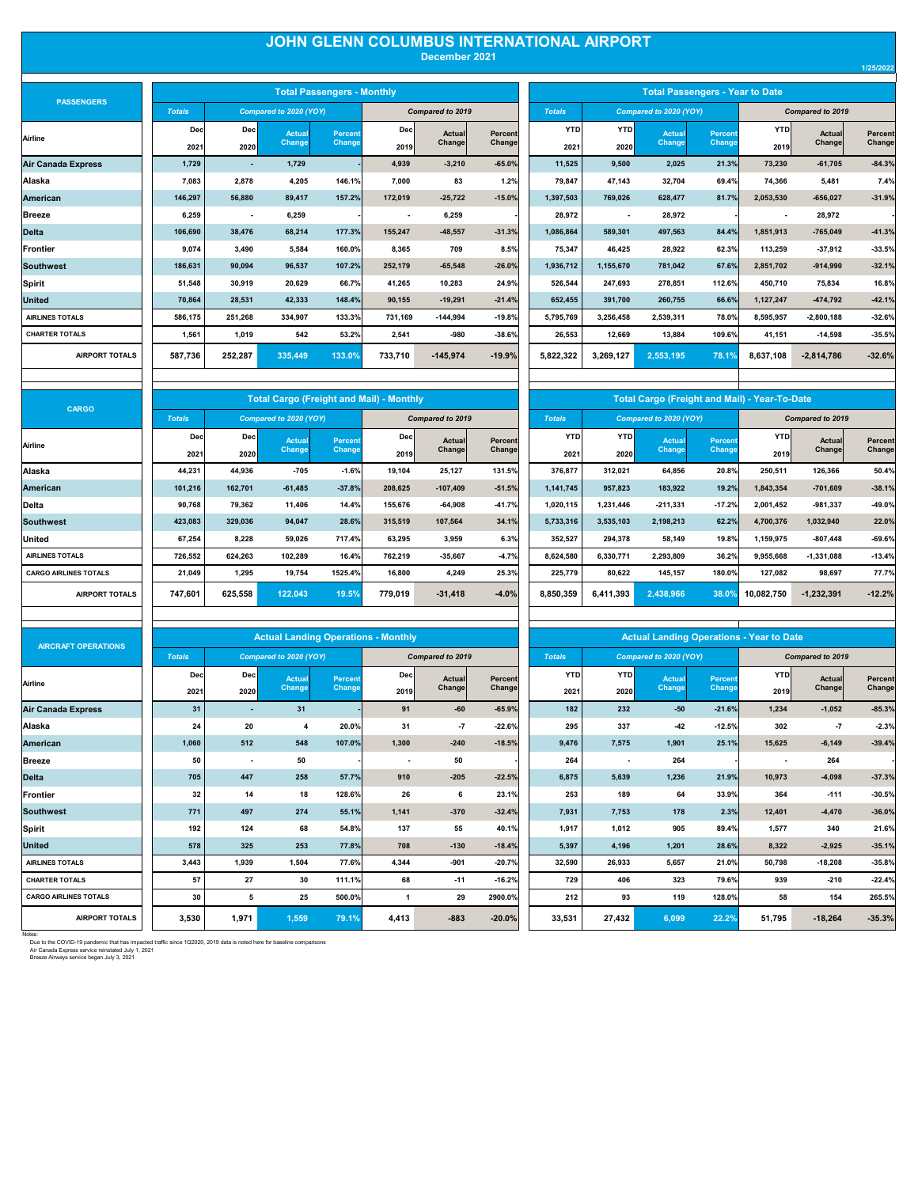## **JOHN GLENN COLUMBUS INTERNATIONAL AIRPORT**

| December 2021 |  |
|---------------|--|

| <b>PASSENGERS</b>         |               |                          |                        | <b>Total Passengers - Monthly</b> |                          |                  |          | <b>Total Passengers - Year to Date</b> |                          |                        |               |                          |                         |          |
|---------------------------|---------------|--------------------------|------------------------|-----------------------------------|--------------------------|------------------|----------|----------------------------------------|--------------------------|------------------------|---------------|--------------------------|-------------------------|----------|
|                           | <b>Totals</b> |                          | Compared to 2020 (YOY) |                                   |                          | Compared to 2019 |          | <b>Totals</b>                          |                          | Compared to 2020 (YOY) |               |                          | <b>Compared to 2019</b> |          |
| Airline                   | Dec           | Dec                      | Actual                 | <b>Percent</b>                    | Dec                      | <b>Actual</b>    | Percent  | <b>YTD</b>                             | <b>YTD</b>               | Actual                 | Percent       | YTD                      | Actual                  | Percent  |
|                           | 2021          | 2020                     | Change                 | Change                            | 2019                     | Change           | Change   | 2021                                   | 2020                     | Change                 | <b>Change</b> | 2019                     | Change                  | Change   |
| <b>Air Canada Express</b> | 1.729         |                          | 1.729                  |                                   | 4.939                    | $-3.210$         | $-65.0%$ | 11.525                                 | 9.500                    | 2,025                  | 21.3%         | 73,230                   | $-61,705$               | $-84.3%$ |
| Alaska                    | 7,083         | 2.878                    | 4,205                  | 146.1%                            | 7,000                    | 83               | 1.2%     | 79,847                                 | 47.143                   | 32,704                 | 69.4%         | 74,366                   | 5,481                   | 7.4%     |
| <b>American</b>           | 146.297       | 56.880                   | 89.417                 | 157.2%                            | 172.019                  | $-25.722$        | $-15.0%$ | 1.397.503                              | 769.026                  | 628.477                | 81.7%         | 2,053,530                | $-656,027$              | $-31.9%$ |
| <b>Breeze</b>             | 6,259         | $\overline{\phantom{a}}$ | 6,259                  |                                   | $\overline{\phantom{a}}$ | 6,259            |          | 28,972                                 | $\overline{\phantom{a}}$ | 28,972                 |               | $\overline{\phantom{a}}$ | 28,972                  |          |
| <b>Delta</b>              | 106,690       | 38.476                   | 68.214                 | 177.3%                            | 155.247                  | $-48.557$        | $-31.3%$ | 1.086.864                              | 589.301                  | 497,563                | 84.4%         | 1.851.913                | $-765,049$              | $-41.3%$ |
| <b>Frontier</b>           | 9.074         | 3.490                    | 5.584                  | 160.0%                            | 8.365                    | 709              | 8.5%     | 75.347                                 | 46.425                   | 28.922                 | 62.3%         | 113.259                  | $-37,912$               | $-33.5%$ |
| <b>Southwest</b>          | 186,631       | 90.094                   | 96,537                 | 107.2%                            | 252,179                  | $-65,548$        | $-26.0%$ | 1,936,712                              | 1,155,670                | 781,042                | 67.6%         | 2,851,702                | $-914,990$              | $-32.1%$ |
| <b>Spirit</b>             | 51.548        | 30.919                   | 20.629                 | 66.7%                             | 41.265                   | 10.283           | 24.9%    | 526.544                                | 247.693                  | 278.851                | 112.6%        | 450.710                  | 75.834                  | 16.8%    |
| <b>United</b>             | 70.864        | 28.531                   | 42.333                 | 148.4%                            | 90.155                   | $-19.291$        | $-21.4%$ | 652.455                                | 391.700                  | 260.755                | 66.6%         | 1,127,247                | $-474,792$              | $-42.1%$ |
| <b>AIRLINES TOTALS</b>    | 586,175       | 251,268                  | 334,907                | 133.3%                            | 731,169                  | $-144.994$       | $-19.8%$ | 5,795,769                              | 3,256,458                | 2,539,311              | 78.0%         | 8,595,957                | $-2,800,188$            | $-32.6%$ |
| <b>CHARTER TOTALS</b>     | 1,561         | 1,019                    | 542                    | 53.2%                             | 2,541                    | $-980$           | $-38.6%$ | 26.553                                 | 12.669                   | 13,884                 | 109.6%        | 41,151                   | $-14,598$               | $-35.5%$ |
| <b>AIRPORT TOTALS</b>     | 587,736       | 252,287                  | 335,449                | 133.0%                            | 733,710                  | $-145,974$       | $-19.9%$ | 5,822,322                              | 3,269,127                | 2,553,195              | 78.1%         | 8,637,108                | $-2,814,786$            | $-32.6%$ |
|                           |               |                          |                        |                                   |                          |                  |          |                                        |                          |                        |               |                          |                         |          |

|                                | <b>Total Passengers - Monthly</b> |             |                         |                   |                    |                    |                         | <b>Total Passengers - Year to Date</b> |                    |                         |                           |
|--------------------------------|-----------------------------------|-------------|-------------------------|-------------------|--------------------|--------------------|-------------------------|----------------------------------------|--------------------|-------------------------|---------------------------|
| to 2020 (YOY)                  |                                   |             | Compared to 2019        |                   | <b>Totals</b>      |                    | Compared to 2020 (YOY)  |                                        |                    | <b>Compared to 2019</b> |                           |
| <b>Actual</b><br><b>Change</b> | <b>Percent</b><br>Change          | Dec<br>2019 | <b>Actual</b><br>Change | Percent<br>Change | <b>YTD</b><br>2021 | <b>YTD</b><br>2020 | <b>Actual</b><br>Change | <b>Percent</b><br>Change               | <b>YTD</b><br>2019 | <b>Actual</b><br>Change | <b>Percent</b><br>Changel |
| 1,729                          |                                   | 4.939       | $-3,210$                | $-65.0%$          | 11,525             | 9,500              | 2,025                   | 21.3%                                  | 73,230             | $-61,705$               | $-84.3%$                  |
| 4,205                          | 146.1%                            | 7,000       | 83                      | 1.2%              | 79,847             | 47,143             | 32,704                  | 69.4%                                  | 74,366             | 5,481                   | 7.4%                      |
| 89,417                         | 157.2%                            | 172,019     | $-25,722$               | $-15.0%$          | 1,397,503          | 769,026            | 628,477                 | 81.7%                                  | 2,053,530          | $-656,027$              | $-31.9%$                  |
| 6,259                          |                                   |             | 6,259                   |                   | 28,972             |                    | 28,972                  |                                        |                    | 28,972                  |                           |
| 68,214                         | 177.3%                            | 155,247     | $-48,557$               | $-31.3%$          | 1,086,864          | 589,301            | 497,563                 | 84.4%                                  | 1,851,913          | $-765,049$              | $-41.3%$                  |
| 5,584                          | 160.0%                            | 8,365       | 709                     | 8.5%              | 75,347             | 46,425             | 28,922                  | 62.3%                                  | 113,259            | $-37,912$               | $-33.5%$                  |
| 96,537                         | 107.2%                            | 252,179     | $-65,548$               | $-26.0%$          | 1,936,712          | 1,155,670          | 781,042                 | 67.6%                                  | 2,851,702          | $-914,990$              | $-32.1%$                  |
| 20,629                         | 66.7%                             | 41,265      | 10,283                  | 24.9%             | 526.544            | 247.693            | 278.851                 | 112.6%                                 | 450.710            | 75,834                  | 16.8%                     |
| 42,333                         | 148.4%                            | 90,155      | $-19,291$               | $-21.4%$          | 652,455            | 391,700            | 260,755                 | 66.6%                                  | 1,127,247          | $-474,792$              | $-42.1%$                  |
| 334,907                        | 133.3%                            | 731,169     | $-144,994$              | $-19.8%$          | 5,795,769          | 3,256,458          | 2,539,311               | 78.0%                                  | 8,595,957          | $-2,800,188$            | $-32.6%$                  |
| 542                            | 53.2%                             | 2,541       | -980                    | $-38.6%$          | 26,553             | 12,669             | 13,884                  | 109.6%                                 | 41,151             | $-14,598$               | $-35.5%$                  |
| 335,449                        | 133.0%                            | 733,710     | $-145,974$              | $-19.9%$          | 5,822,322          | 3,269,127          | 2,553,195               | 78.1%                                  | 8,637,108          | $-2,814,786$            | $-32.6%$                  |

| <b>CARGO</b>                 |               |         | <b>Total Cargo (Freight and Mail) - Monthly</b> |                |         |                  |          |               |            | <b>Total Cargo (Freight and Mail) - Year-To-Date</b> |          |            |                  |          |
|------------------------------|---------------|---------|-------------------------------------------------|----------------|---------|------------------|----------|---------------|------------|------------------------------------------------------|----------|------------|------------------|----------|
|                              | <b>Totals</b> |         | Compared to 2020 (YOY)                          |                |         | Compared to 2019 |          | <b>Totals</b> |            | Compared to 2020 (YOY)                               |          |            | Compared to 2019 |          |
| Airline                      | Dec           | Dec     | <b>Actual</b>                                   | <b>Percent</b> | Dec     | Actual           | Percent  | <b>YTD</b>    | <b>YTD</b> | Actual                                               | Percent  | <b>YTD</b> | Actual           | Percent  |
|                              | 2021          | 2020    | Change                                          | Change         | 2019    | Change           | Change   | 2021          | 2020       | Change                                               | Change   | 2019       | Change           | Change   |
| Alaska                       | 44,231        | 44,936  | $-705$                                          | $-1.6%$        | 19,104  | 25,127           | 131.5%   | 376,877       | 312,021    | 64,856                                               | 20.8%    | 250,511    | 126,366          | 50.4%    |
| American                     | 101,216       | 162,701 | $-61,485$                                       | $-37.8%$       | 208,625 | $-107,409$       | $-51.5%$ | 1,141,745     | 957,823    | 183,922                                              | 19.2%    | 1,843,354  | $-701,609$       | $-38.1%$ |
| Delta                        | 90,768        | 79,362  | 11,406                                          | 14.4%          | 155.676 | $-64,908$        | $-41.7%$ | 1,020,115     | 1,231,446  | $-211,331$                                           | $-17.2%$ | 2,001,452  | $-981,337$       | $-49.0%$ |
| <b>Southwest</b>             | 423,083       | 329,036 | 94,047                                          | 28.6%          | 315,519 | 107,564          | 34.1%    | 5,733,316     | 3,535,103  | 2,198,213                                            | 62.2%    | 4,700,376  | 1,032,940        | 22.0%    |
| United                       | 67,254        | 8,228   | 59,026                                          | 717.4%         | 63,295  | 3,959            | 6.3%     | 352,527       | 294,378    | 58,149                                               | 19.8%    | 1,159,975  | $-807,448$       | $-69.6%$ |
| <b>AIRLINES TOTALS</b>       | 726,552       | 624.263 | 102,289                                         | 16.4%          | 762.219 | $-35.667$        | $-4.7%$  | 8,624,580     | 6,330,771  | 2,293,809                                            | 36.2%    | 9,955,668  | $-1,331,088$     | $-13.4%$ |
| <b>CARGO AIRLINES TOTALS</b> | 21,049        | 1,295   | 19,754                                          | 1525.4%        | 16,800  | 4,249            | 25.3%    | 225,779       | 80,622     | 145,157                                              | 180.0%   | 127,082    | 98,697           | 77.7%    |
| <b>AIRPORT TOTALS</b>        | 747,601       | 625,558 | 122,043                                         | 19.5%          | 779,019 | $-31,418$        | $-4.0%$  | 8,850,359     | 6,411,393  | 2,438,966                                            | 38.0%    | 10,082,750 | $-1,232,391$     | $-12.2%$ |

|               |            | <b>Total Cargo (Freight and Mail) - Year-To-Date</b> |                |            |                         |                |
|---------------|------------|------------------------------------------------------|----------------|------------|-------------------------|----------------|
| <b>Totals</b> |            | Compared to 2020 (YOY)                               |                |            | <b>Compared to 2019</b> |                |
| <b>YTD</b>    | <b>YTD</b> | <b>Actual</b>                                        | <b>Percent</b> | <b>YTD</b> | Actual                  | <b>Percent</b> |
| 2021          | 2020       | Change                                               | Change         | 2019       | Change                  | Change         |
| 376,877       | 312,021    | 64.856                                               | 20.8%          | 250,511    | 126.366                 | 50.4%          |
| 1,141,745     | 957,823    | 183,922                                              | 19.2%          | 1,843,354  | $-701,609$              | $-38.1%$       |
| 1,020,115     | 1,231,446  | $-211,331$                                           | $-17.2%$       | 2,001,452  | -981,337                | $-49.0%$       |
| 5,733,316     | 3,535,103  | 2,198,213                                            | 62.2%          | 4,700,376  | 1,032,940               | 22.0%          |
| 352,527       | 294,378    | 58.149                                               | 19.8%          | 1,159,975  | $-807,448$              | $-69.6%$       |
| 8,624,580     | 6,330,771  | 2,293,809                                            | 36.2%          | 9,955,668  | $-1,331,088$            | $-13.4%$       |
| 225,779       | 80,622     | 145,157                                              | 180.0%         | 127,082    | 98,697                  | 77.7%          |
| 8,850,359     | 6,411,393  | 2.438.966                                            | 38.0%          | 10,082,750 | $-1,232,391$            | $-12.2%$       |

| <b>AIRCRAFT OPERATIONS</b>   |               |                          | <b>Actual Landing Operations - Monthly</b> |         |       |                         |          |               |        | <b>Actual Landing Operations - Year to Date</b> |          |                          |                  |                |
|------------------------------|---------------|--------------------------|--------------------------------------------|---------|-------|-------------------------|----------|---------------|--------|-------------------------------------------------|----------|--------------------------|------------------|----------------|
|                              | <b>Totals</b> |                          | Compared to 2020 (YOY)                     |         |       | <b>Compared to 2019</b> |          | <b>Totals</b> |        | Compared to 2020 (YOY)                          |          |                          | Compared to 2019 |                |
| Airline                      | Dec           | Dec                      | <b>Actual</b>                              | Percent | Dec   | Actual                  | Percent  | <b>YTD</b>    | YTD    | <b>Actual</b>                                   | Percent  | <b>YTD</b>               | Actual           | <b>Percent</b> |
|                              | 2021          | 2020                     | Change                                     | Change  | 2019  | Changel                 | Change   | 2021          | 2020   | Change                                          | Change   | 2019                     | Change           | Change         |
| Air Canada Express           | 31            |                          | 31                                         |         | 91    | $-60$                   | $-65.9%$ | 182           | 232    | $-50$                                           | $-21.6%$ | 1,234                    | $-1,052$         | $-85.3%$       |
| Alaska                       | 24            | 20                       | 4                                          | 20.0%   | 31    | $-7$                    | $-22.6%$ | 295           | 337    | $-42$                                           | $-12.5%$ | 302                      | $-7$             | $-2.3%$        |
| <b>American</b>              | 1.060         | 512                      | 548                                        | 107.0%  | 1,300 | $-240$                  | $-18.5%$ | 9.476         | 7.575  | 1.901                                           | 25.1%    | 15,625                   | $-6,149$         | $-39.4%$       |
| <b>Breeze</b>                | 50            | $\overline{\phantom{a}}$ | 50                                         |         |       | 50                      |          | 264           |        | 264                                             |          | $\overline{\phantom{a}}$ | 264              |                |
| <b>Delta</b>                 | 705           | 447                      | 258                                        | 57.7%   | 910   | $-205$                  | $-22.5%$ | 6,875         | 5,639  | 1,236                                           | 21.9%    | 10,973                   | $-4,098$         | $-37.3%$       |
| Frontier                     | 32            | 14                       | 18                                         | 128.6%  | 26    | 6                       | 23.1%    | 253           | 189    | 64                                              | 33.9%    | 364                      | $-111$           | $-30.5%$       |
| <b>Southwest</b>             | 771           | 497                      | 274                                        | 55.1%   | 1,141 | $-370$                  | $-32.4%$ | 7.931         | 7.753  | 178                                             | 2.3%     | 12.401                   | $-4,470$         | $-36.0%$       |
| Spirit                       | 192           | 124                      | 68                                         | 54.8%   | 137   | 55                      | 40.1%    | 1.917         | 1.012  | 905                                             | 89.4%    | 1.577                    | 340              | 21.6%          |
| <b>United</b>                | 578           | 325                      | 253                                        | 77.8%   | 708   | $-130$                  | $-18.4%$ | 5,397         | 4,196  | 1,201                                           | 28.6%    | 8,322                    | $-2,925$         | $-35.1%$       |
| <b>AIRLINES TOTALS</b>       | 3,443         | 1,939                    | 1,504                                      | 77.6%   | 4,344 | $-901$                  | $-20.7%$ | 32,590        | 26,933 | 5,657                                           | 21.0%    | 50,798                   | $-18,208$        | $-35.8%$       |
| <b>CHARTER TOTALS</b>        | 57            | 27                       | 30                                         | 111.1%  | 68    | $-11$                   | $-16.2%$ | 729           | 406    | 323                                             | 79.6%    | 939                      | $-210$           | $-22.4%$       |
| <b>CARGO AIRLINES TOTALS</b> | 30            | 5                        | 25                                         | 500.0%  |       | 29                      | 2900.0%  | 212           | 93     | 119                                             | 128.0%   | 58                       | 154              | 265.5%         |
| <b>AIRPORT TOTALS</b>        | 3,530         | 1,971                    | 1,559                                      | 79.1%   | 4,413 | $-883$                  | $-20.0%$ | 33,531        | 27,432 | 6,099                                           | 22.2%    | 51,795                   | $-18,264$        | $-35.3%$       |

| <b>Actual Landing Operations - Year to Date</b><br><b>Totals</b><br>Compared to 2020 (YOY)<br>Compared to 2019<br><b>YTD</b><br><b>YTD</b><br><b>YTD</b><br><b>Actual</b><br><b>Percent</b><br><b>Actual</b><br>Change<br>Change<br>Change<br>2021<br>2020<br>2019<br>182<br>232<br>$-50$<br>$-21.6%$<br>1,234<br>$-1.052$<br>295<br>337<br>$-42$<br>$-12.5%$<br>302<br>$-7$<br>1,901<br>9.476<br>7,575<br>25.1%<br>15,625<br>$-6,149$<br>264<br>264<br>264<br>6.875<br>5,639<br>1,236<br>21.9%<br>10.973<br>$-4.098$<br>33.9%<br>253<br>189<br>364<br>$-111$<br>64<br>7,931<br>178<br>2.3%<br>12.401<br>7,753<br>$-4.470$<br>1,917<br>1.012<br>905<br>340<br>89.4%<br>1,577<br>5,397<br>4,196<br>1,201<br>28.6%<br>8.322<br>$-2,925$<br>32,590<br>$-18,208$<br>26,933<br>5,657<br>21.0%<br>50,798<br>729<br>406<br>323<br>79.6%<br>939<br>$-210$<br>119<br>128.0%<br>212<br>93<br>58<br>154<br>33,531<br>27,432<br>6,099<br>22.2%<br>51,795<br>$-18,264$ |  |  |  |                |
|-----------------------------------------------------------------------------------------------------------------------------------------------------------------------------------------------------------------------------------------------------------------------------------------------------------------------------------------------------------------------------------------------------------------------------------------------------------------------------------------------------------------------------------------------------------------------------------------------------------------------------------------------------------------------------------------------------------------------------------------------------------------------------------------------------------------------------------------------------------------------------------------------------------------------------------------------------------|--|--|--|----------------|
|                                                                                                                                                                                                                                                                                                                                                                                                                                                                                                                                                                                                                                                                                                                                                                                                                                                                                                                                                           |  |  |  |                |
|                                                                                                                                                                                                                                                                                                                                                                                                                                                                                                                                                                                                                                                                                                                                                                                                                                                                                                                                                           |  |  |  |                |
|                                                                                                                                                                                                                                                                                                                                                                                                                                                                                                                                                                                                                                                                                                                                                                                                                                                                                                                                                           |  |  |  | <b>Percent</b> |
|                                                                                                                                                                                                                                                                                                                                                                                                                                                                                                                                                                                                                                                                                                                                                                                                                                                                                                                                                           |  |  |  | Change         |
|                                                                                                                                                                                                                                                                                                                                                                                                                                                                                                                                                                                                                                                                                                                                                                                                                                                                                                                                                           |  |  |  | $-85.3%$       |
|                                                                                                                                                                                                                                                                                                                                                                                                                                                                                                                                                                                                                                                                                                                                                                                                                                                                                                                                                           |  |  |  | $-2.3%$        |
|                                                                                                                                                                                                                                                                                                                                                                                                                                                                                                                                                                                                                                                                                                                                                                                                                                                                                                                                                           |  |  |  | $-39.4%$       |
|                                                                                                                                                                                                                                                                                                                                                                                                                                                                                                                                                                                                                                                                                                                                                                                                                                                                                                                                                           |  |  |  |                |
|                                                                                                                                                                                                                                                                                                                                                                                                                                                                                                                                                                                                                                                                                                                                                                                                                                                                                                                                                           |  |  |  | $-37.3%$       |
|                                                                                                                                                                                                                                                                                                                                                                                                                                                                                                                                                                                                                                                                                                                                                                                                                                                                                                                                                           |  |  |  | $-30.5%$       |
|                                                                                                                                                                                                                                                                                                                                                                                                                                                                                                                                                                                                                                                                                                                                                                                                                                                                                                                                                           |  |  |  | $-36.0%$       |
|                                                                                                                                                                                                                                                                                                                                                                                                                                                                                                                                                                                                                                                                                                                                                                                                                                                                                                                                                           |  |  |  | 21.6%          |
|                                                                                                                                                                                                                                                                                                                                                                                                                                                                                                                                                                                                                                                                                                                                                                                                                                                                                                                                                           |  |  |  | $-35.1%$       |
|                                                                                                                                                                                                                                                                                                                                                                                                                                                                                                                                                                                                                                                                                                                                                                                                                                                                                                                                                           |  |  |  | $-35.8%$       |
|                                                                                                                                                                                                                                                                                                                                                                                                                                                                                                                                                                                                                                                                                                                                                                                                                                                                                                                                                           |  |  |  | $-22.4%$       |
|                                                                                                                                                                                                                                                                                                                                                                                                                                                                                                                                                                                                                                                                                                                                                                                                                                                                                                                                                           |  |  |  | 265.5%         |
|                                                                                                                                                                                                                                                                                                                                                                                                                                                                                                                                                                                                                                                                                                                                                                                                                                                                                                                                                           |  |  |  | $-35.3%$       |

Notes:<br>Due to the COVID-19 pandemic that has impacted traffic since 1Q2020, 2019 data is noted here for baseline comparisons<br>Air Canada Express service began July 3, 2021<br>Breeze Airways service began July 3, 2021

**1/25/2022**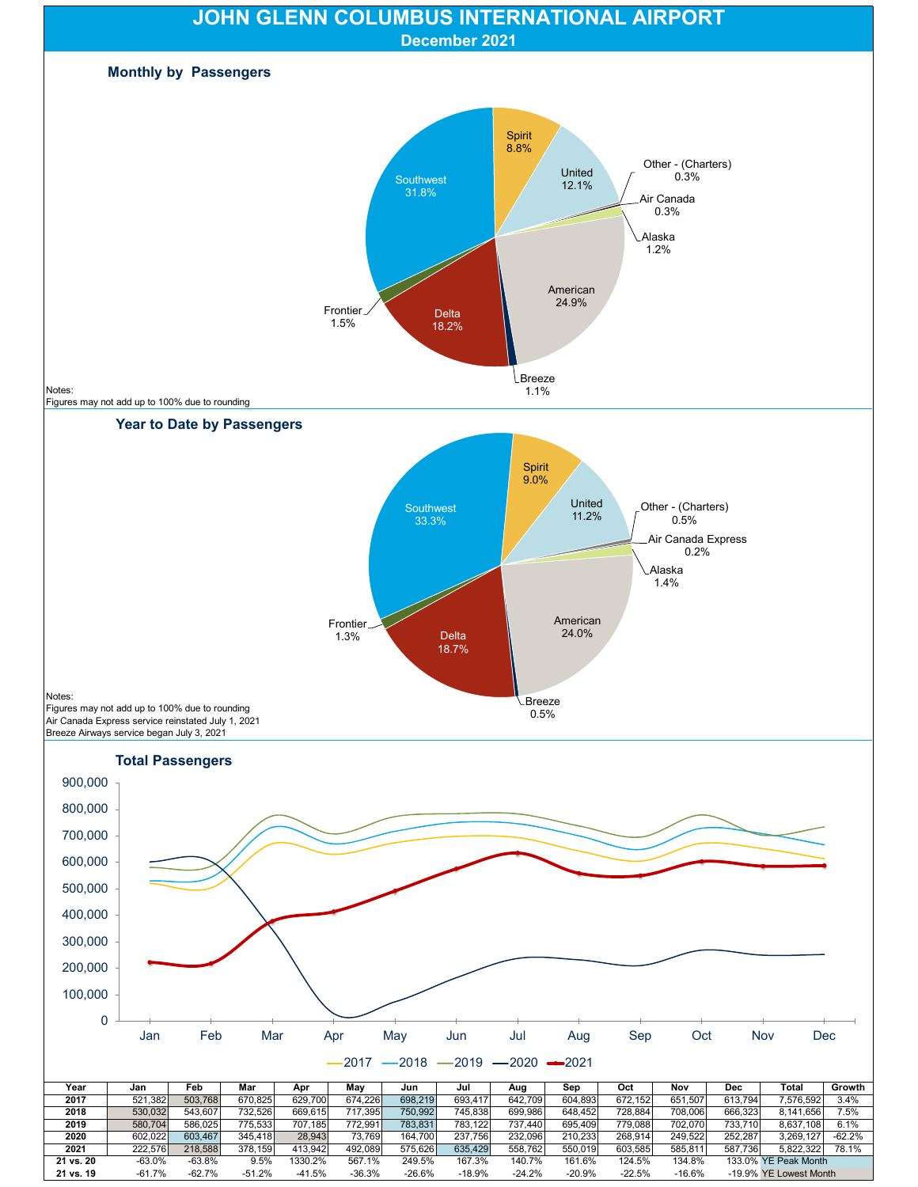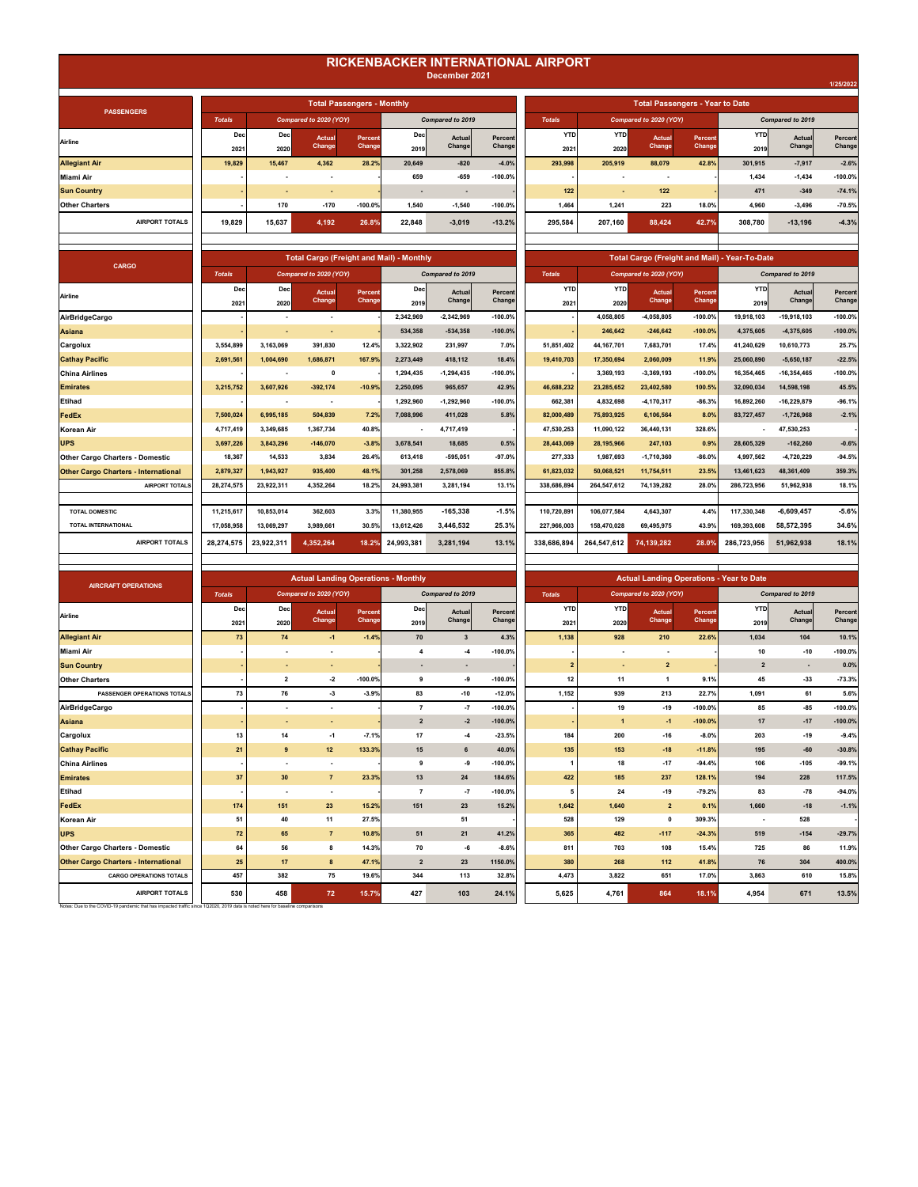## **RICKENBACKER INTERNATIONAL AIRPORT**

| December 2021 |
|---------------|
|---------------|

| <b>PASSENGERS</b>     |               |        |                        | <b>Total Passengers - Monthly</b> |        |                          |            |               |            | <b>Total Passengers - Year to Date</b> |         |            |                  |           |
|-----------------------|---------------|--------|------------------------|-----------------------------------|--------|--------------------------|------------|---------------|------------|----------------------------------------|---------|------------|------------------|-----------|
|                       | <b>Totals</b> |        | Compared to 2020 (YOY) |                                   |        | Compared to 2019         |            | <b>Totals</b> |            | Compared to 2020 (YOY)                 |         |            | Compared to 2019 |           |
| Airline               | Dec           | Dec    | Actual                 | Percent                           | Dec    | Actual                   | Percent    | <b>YTD</b>    | <b>YTD</b> | Actual                                 | Percent | <b>YTD</b> | Actual           | Percent   |
|                       | 2021          | 2020   | Change                 | Change                            | 2019   | Change                   | Change     | 2021          | 2020       | Change                                 | Change  | 2019       | Change           | Change    |
| <b>Allegiant Air</b>  | 19,829        | 15,467 | 4,362                  | 28.2%                             | 20,649 | $-820$                   | $-4.0%$    | 293,998       | 205,919    | 88,079                                 | 42.8%   | 301.915    | $-7,917$         | $-2.6%$   |
| Miami Air             |               |        |                        |                                   | 659    | $-659$                   | $-100.0\%$ |               |            |                                        |         | 1.434      | $-1,434$         | $-100.0%$ |
| <b>Sun Country</b>    |               |        |                        |                                   |        | $\overline{\phantom{a}}$ |            | $122$         |            | $122$                                  |         | 471        | $-349$           | $-74.1%$  |
| <b>Other Charters</b> |               | 170    | $-170$                 | $-100.0%$                         | 1,540  | $-1,540$                 | $-100.0%$  | 1,464         | 1,241      | 223                                    | 18.0%   | 4,960      | $-3,496$         | $-70.5%$  |
| <b>AIRPORT TOTALS</b> | 19.829        | 15,637 | 4,192                  | 26.8%                             | 22.848 | $-3,019$                 | $-13.2%$   | 295.584       | 207.160    | 88,424                                 | 42.7%   | 308.780    | $-13,196$        | $-4.3%$   |
|                       |               |        |                        |                                   |        |                          |            |               |            |                                        |         |            |                  |           |

| <b>CARGO</b>                                |               |             | <b>Total Cargo (Freight and Mail) - Monthly</b> |                   |             |                  |                   |                    |                    |                        |                   | <b>Total Cargo (Freight and Mail) - Year-To-Date</b> |                  |                   |
|---------------------------------------------|---------------|-------------|-------------------------------------------------|-------------------|-------------|------------------|-------------------|--------------------|--------------------|------------------------|-------------------|------------------------------------------------------|------------------|-------------------|
|                                             | <b>Totals</b> |             | Compared to 2020 (YOY)                          |                   |             | Compared to 2019 |                   | <b>Totals</b>      |                    | Compared to 2020 (YOY) |                   |                                                      | Compared to 2019 |                   |
| Airline                                     | Dec<br>2021   | Dec<br>2020 | Actual<br>Change                                | Percent<br>Change | Dec<br>2019 | Actual<br>Change | Percent<br>Change | <b>YTD</b><br>2021 | <b>YTD</b><br>2020 | Actual<br>Change       | Percent<br>Change | <b>YTD</b><br>2019                                   | Actual<br>Change | Percent<br>Change |
| <b>AirBridgeCargo</b>                       |               |             | $\blacksquare$                                  |                   | 2,342,969   | $-2,342,969$     | $-100.0%$         |                    | 4,058,805          | $-4,058,805$           | $-100.0%$         | 19,918,103                                           | $-19,918,103$    | $-100.0%$         |
| Asiana                                      |               |             |                                                 |                   | 534,358     | $-534,358$       | $-100.0%$         |                    | 246,642            | $-246,642$             | $-100.0%$         | 4,375,605                                            | $-4,375,605$     | $-100.0%$         |
| Cargolux                                    | 3.554.899     | 3,163,069   | 391.830                                         | 12.4%             | 3.322.902   | 231,997          | 7.0%              | 51,851,402         | 44, 167, 701       | 7,683,701              | 17.4%             | 41.240.629                                           | 10,610,773       | 25.7%             |
| <b>Cathay Pacific</b>                       | 2,691,561     | 1,004,690   | 1,686,871                                       | 167.9%            | 2,273,449   | 418,112          | 18.4%             | 19,410,703         | 17,350,694         | 2,060,009              | 11.9%             | 25,060,890                                           | $-5,650,187$     | $-22.5%$          |
| China Airlines                              |               |             | $\mathbf{0}$                                    |                   | 1.294.435   | $-1,294,435$     | $-100.0%$         |                    | 3,369,193          | $-3.369.193$           | $-100.0%$         | 16.354.465                                           | $-16, 354, 465$  | $-100.0%$         |
| <b>Emirates</b>                             | 3,215,752     | 3,607,926   | $-392,174$                                      | $-10.9%$          | 2,250,095   | 965,657          | 42.9%             | 46,688,232         | 23,285,652         | 23,402,580             | 100.5%            | 32,090,034                                           | 14,598,198       | 45.5%             |
| Etihad                                      |               |             | $\blacksquare$                                  |                   | 1,292,960   | $-1,292,960$     | $-100.0%$         | 662,381            | 4,832,698          | $-4, 170, 317$         | $-86.3%$          | 16,892,260                                           | $-16,229,879$    | $-96.1%$          |
| FedEx                                       | 7,500,024     | 6.995.185   | 504,839                                         | 7.2%              | 7,088,996   | 411,028          | 5.8%              | 82,000,489         | 75,893,925         | 6,106,564              | 8.0%              | 83,727,457                                           | $-1,726,968$     | $-2.1%$           |
| Korean Air                                  | 4,717,419     | 3,349,685   | 1,367,734                                       | 40.8%             |             | 4,717,419        |                   | 47,530,253         | 11,090,122         | 36,440,131             | 328.6%            |                                                      | 47,530,253       |                   |
| <b>UPS</b>                                  | 3,697,226     | 3,843,296   | $-146,070$                                      | $-3.8%$           | 3.678.541   | 18,685           | 0.5%              | 28,443,069         | 28, 195, 966       | 247,103                | 0.9%              | 28.605.329                                           | $-162,260$       | $-0.6%$           |
| <b>Other Cargo Charters - Domestic</b>      | 18,367        | 14,533      | 3,834                                           | 26.4%             | 613,418     | $-595,051$       | $-97.0%$          | 277,333            | 1,987,693          | $-1,710,360$           | $-86.0%$          | 4,997,562                                            | $-4,720,229$     | $-94.5%$          |
| <b>Other Cargo Charters - International</b> | 2,879,327     | 1.943.927   | 935,400                                         | 48.1%             | 301.258     | 2,578,069        | 855.8%            | 61.823.032         | 50.068.521         | 11.754.511             | 23.5%             | 13.461.623                                           | 48,361,409       | 359.3%            |
| <b>AIRPORT TOTALS</b>                       | 28,274,575    | 23,922,311  | 4,352,264                                       | 18.2%             | 24,993,381  | 3,281,194        | 13.1%             | 338,686,894        | 264,547,612        | 74,139,282             | 28.0%             | 286,723,956                                          | 51,962,938       | 18.1%             |
|                                             |               |             |                                                 |                   |             |                  |                   |                    |                    |                        |                   |                                                      |                  |                   |
| <b>TOTAL DOMESTIC</b>                       | 11,215,617    | 10,853,014  | 362,603                                         | 3.3%              | 11,380,955  | $-165.338$       | $-1.5%$           | 110,720,891        | 106,077,584        | 4,643,307              | 4.4%              | 117,330,348                                          | $-6.609.457$     | $-5.6%$           |
| <b>TOTAL INTERNATIONAL</b>                  | 17.058.958    | 13,069,297  | 3,989,661                                       | 30.5%             | 13,612,426  | 3,446,532        | 25.3%             | 227.966.003        | 158.470.028        | 69,495,975             | 43.9%             | 169,393,608                                          | 58,572,395       | 34.6%             |
| <b>AIRPORT TOTALS</b>                       | 28,274,575    | 23,922,311  | 4,352,264                                       | 18.2%             | 24,993,381  | 3,281,194        | 13.1%             | 338,686,894        | 264,547,612        | 74,139,282             | 28.0%             | 286,723,956                                          | 51,962,938       | 18.1%             |
|                                             |               |             |                                                 |                   |             |                  |                   |                    |                    |                        |                   |                                                      |                  |                   |

| <b>AIRCRAFT OPERATIONS</b>                                                                                                   |               |                          |                          |           | <b>Actual Landing Operations - Monthly</b> |                         |           | <b>Actual Landing Operations - Year to Date</b> |                |                        |           |                         |                  |           |
|------------------------------------------------------------------------------------------------------------------------------|---------------|--------------------------|--------------------------|-----------|--------------------------------------------|-------------------------|-----------|-------------------------------------------------|----------------|------------------------|-----------|-------------------------|------------------|-----------|
|                                                                                                                              | <b>Totals</b> |                          | Compared to 2020 (YOY)   |           |                                            | Compared to 2019        |           | <b>Totals</b>                                   |                | Compared to 2020 (YOY) |           |                         | Compared to 2019 |           |
| Airline                                                                                                                      | Dec           | Dec                      | <b>Actual</b>            | Percent   | Dec                                        | Actual                  | Percent   | <b>YTD</b>                                      | <b>YTD</b>     | Actual                 | Percent   | YTD                     | Actual           | Percent   |
|                                                                                                                              | 2021          | 2020                     | Change                   | Change    | 2019                                       | Change                  | Change    | 2021                                            | 2020           | Change                 | Change    | 2019                    | Change           | Change    |
| <b>Allegiant Air</b>                                                                                                         | 73            | 74                       | $-1$                     | $-1.4%$   | 70                                         | $\overline{\mathbf{3}}$ | 4.3%      | 1,138                                           | 928            | 210                    | 22.6%     | 1,034                   | 104              | 10.1%     |
| Miami Air                                                                                                                    |               | $\overline{\phantom{a}}$ | ٠                        |           | $\overline{\mathbf{A}}$                    | $-4$                    | $-100.0%$ |                                                 |                | ۰.                     |           | 10                      | $-10$            | $-100.0%$ |
| <b>Sun Country</b>                                                                                                           |               | $\overline{\phantom{a}}$ | ٠                        |           | ٠                                          | ٠                       |           | $\overline{2}$                                  |                | $\overline{2}$         |           | $\overline{\mathbf{2}}$ | $\sim$           | 0.0%      |
| <b>Other Charters</b>                                                                                                        |               | $\overline{2}$           | $-2$                     | $-100.0%$ | 9                                          | -9                      | $-100.0%$ | 12                                              | 11             | $\mathbf{1}$           | 9.1%      | 45                      | $-33$            | $-73.3%$  |
| PASSENGER OPERATIONS TOTALS                                                                                                  | 73            | 76                       | $-3$                     | $-3.9%$   | 83                                         | $-10$                   | $-12.0%$  | 1,152                                           | 939            | 213                    | 22.7%     | 1,091                   | 61               | 5.6%      |
| AirBridgeCargo                                                                                                               |               | $\overline{\phantom{a}}$ | ٠                        |           | $\overline{ }$                             | $-7$                    | $-100.0%$ |                                                 | 19             | $-19$                  | $-100.0%$ | 85                      | $-85$            | $-100.0%$ |
| Asiana                                                                                                                       |               | $\blacksquare$           | ٠                        |           | $\overline{2}$                             | $-2$                    | $-100.0%$ |                                                 | $\overline{1}$ | $-1$                   | $-100.0%$ | 17                      | $-17$            | $-100.0%$ |
| Cargolux                                                                                                                     | 13            | 14                       | $-1$                     | $-7.1%$   | 17                                         | $-4$                    | $-23.5%$  | 184                                             | 200            | $-16$                  | $-8.0%$   | 203                     | $-19$            | $-9.4%$   |
| <b>Cathay Pacific</b>                                                                                                        | 21            | 9                        | 12                       | 133.3%    | 15                                         | $\bf 6$                 | 40.0%     | 135                                             | 153            | $-18$                  | $-11.8%$  | 195                     | $-60$            | $-30.8%$  |
| <b>China Airlines</b>                                                                                                        |               | $\overline{\phantom{a}}$ | $\overline{\phantom{a}}$ |           | 9                                          | -9                      | $-100.0%$ | 1                                               | 18             | $-17$                  | $-94.4%$  | 106                     | $-105$           | $-99.1%$  |
| <b>Emirates</b>                                                                                                              | 37            | 30                       | $\overline{7}$           | 23.3%     | 13                                         | 24                      | 184.6%    | 422                                             | 185            | 237                    | 128.1%    | 194                     | 228              | 117.5%    |
| Etihad                                                                                                                       |               | $\overline{\phantom{a}}$ | $\overline{\phantom{a}}$ |           | $\overline{7}$                             | $-7$                    | $-100.0%$ | 5                                               | 24             | $-19$                  | $-79.2%$  | 83                      | $-78$            | $-94.0%$  |
| FedEx                                                                                                                        | 174           | 151                      | 23                       | 15.2%     | 151                                        | 23                      | 15.2%     | 1,642                                           | 1,640          | $\overline{2}$         | 0.1%      | 1.660                   | $-18$            | $-1.1%$   |
| Korean Air                                                                                                                   | 51            | 40                       | 11                       | 27.5%     |                                            | 51                      |           | 528                                             | 129            | $\mathbf{0}$           | 309.3%    |                         | 528              |           |
| <b>UPS</b>                                                                                                                   | 72            | 65                       | $\overline{7}$           | 10.8%     | 51                                         | 21                      | 41.2%     | 365                                             | 482            | $-117$                 | $-24.3%$  | 519                     | $-154$           | $-29.7%$  |
| <b>Other Cargo Charters - Domestic</b>                                                                                       | 64            | 56                       | 8                        | 14.3%     | 70                                         | -6                      | $-8.6%$   | 811                                             | 703            | 108                    | 15.4%     | 725                     | 86               | 11.9%     |
| <b>Other Cargo Charters - International</b>                                                                                  | 25            | 17                       | $\bf{8}$                 | 47.1%     | $\overline{\mathbf{2}}$                    | 23                      | 1150.0%   | 380                                             | 268            | 112                    | 41.8%     | 76                      | 304              | 400.0%    |
| <b>CARGO OPERATIONS TOTALS</b>                                                                                               | 457           | 382                      | 75                       | 19.6%     | 344                                        | 113                     | 32.8%     | 4,473                                           | 3,822          | 651                    | 17.0%     | 3,863                   | 610              | 15.8%     |
| <b>AIRPORT TOTALS</b>                                                                                                        | 530           | 458                      | 72                       | 15.7%     | 427                                        | 103                     | 24.1%     | 5,625                                           | 4,761          | 864                    | 18.1%     | 4,954                   | 671              | 13.5%     |
| Notes: Due to the COVID-19 pandemic that has impacted traffic since 1Q2020, 2019 data is noted here for baseline comparisons |               |                          |                          |           |                                            |                         |           |                                                 |                |                        |           |                         |                  |           |

l

|                     |                  |                   | <b>Actual Landing Operations - Monthly</b> |                         |                   |                         |                    |                        |                   | <b>Actual Landing Operations - Year to Date</b> |                   |                   |
|---------------------|------------------|-------------------|--------------------------------------------|-------------------------|-------------------|-------------------------|--------------------|------------------------|-------------------|-------------------------------------------------|-------------------|-------------------|
| pared to 2020 (YOY) |                  |                   |                                            | Compared to 2019        |                   | <b>Totals</b>           |                    | Compared to 2020 (YOY) |                   |                                                 | Compared to 2019  |                   |
|                     | Actual<br>Change | Percent<br>Change | <b>Dec</b><br>2019                         | Actual<br>Change        | Percent<br>Change | <b>YTD</b><br>2021      | <b>YTD</b><br>2020 | Actual<br>Change       | Percent<br>Change | <b>YTD</b><br>2019                              | Actual<br>Changel | Percent<br>Change |
|                     | $-1$             | $-1.4%$           | 70                                         | $\overline{\mathbf{3}}$ | 4.3%              | 1,138                   | 928                | 210                    | 22.6%             | 1,034                                           | 104               | 10.1%             |
|                     | ٠                |                   | 4                                          | $-4$                    | $-100.0%$         |                         | ٠                  | ٠                      |                   | 10                                              | $-10$             | $-100.0%$         |
|                     | ٠                |                   | $\overline{\phantom{a}}$                   | $\sim$                  |                   | $\overline{\mathbf{2}}$ | ٠                  | $\overline{2}$         |                   | $\mathbf 2$                                     | $\blacksquare$    | 0.0%              |
|                     | $\mathbf{-2}$    | $-100.0%$         | 9                                          | -9                      | $-100.0%$         | 12                      | 11                 | $\mathbf{1}$           | 9.1%              | 45                                              | $-33$             | $-73.3%$          |
|                     | $\textbf{-3}$    | $-3.9%$           | 83                                         | $-10$                   | $-12.0%$          | 1,152                   | 939                | 213                    | 22.7%             | 1,091                                           | 61                | 5.6%              |
|                     | ٠                |                   | $\overline{7}$                             | $-7$                    | $-100.0%$         |                         | 19                 | $-19$                  | $-100.0%$         | 85                                              | $-85$             | $-100.0%$         |
|                     | ٠                |                   | $\overline{2}$                             | $-2$                    | $-100.0%$         |                         | $\mathbf{1}$       | $-1$                   | $-100.0%$         | 17                                              | $-17$             | $-100.0%$         |
|                     | $-1$             | $-7.1%$           | 17                                         | $-4$                    | $-23.5%$          | 184                     | 200                | $-16$                  | $-8.0%$           | 203                                             | $-19$             | $-9.4%$           |
|                     | 12               | 133.3%            | 15                                         | 6                       | 40.0%             | 135                     | 153                | $-18$                  | $-11.8%$          | 195                                             | $-60$             | $-30.8%$          |
|                     | ٠                |                   | 9                                          | -9                      | $-100.0%$         | 1                       | 18                 | $-17$                  | $-94.4%$          | 106                                             | $-105$            | $-99.1%$          |
|                     | $\overline{7}$   | 23.3%             | 13                                         | 24                      | 184.6%            | 422                     | 185                | 237                    | 128.1%            | 194                                             | 228               | 117.5%            |
|                     | ٠                |                   | $\overline{7}$                             | $-7$                    | $-100.0%$         | 5                       | 24                 | $-19$                  | $-79.2%$          | 83                                              | $-78$             | $-94.0%$          |
|                     | 23               | 15.2%             | 151                                        | 23                      | 15.2%             | 1,642                   | 1,640              | $\overline{2}$         | 0.1%              | 1,660                                           | $-18$             | $-1.1%$           |
|                     | 11               | 27.5%             |                                            | 51                      |                   | 528                     | 129                | $\mathbf 0$            | 309.3%            | ٠                                               | 528               |                   |
|                     | $\overline{7}$   | 10.8%             | 51                                         | 21                      | 41.2%             | 365                     | 482                | $-117$                 | $-24.3%$          | 519                                             | $-154$            | $-29.7%$          |
|                     | 8                | 14.3%             | 70                                         | -6                      | $-8.6%$           | 811                     | 703                | 108                    | 15.4%             | 725                                             | 86                | 11.9%             |
|                     | 8                | 47.1%             | $\mathbf 2$                                | 23                      | 1150.0%           | 380                     | 268                | 112                    | 41.8%             | 76                                              | 304               | 400.0%            |
|                     | 75               | 19.6%             | 344                                        | 113                     | 32.8%             | 4,473                   | 3,822              | 651                    | 17.0%             | 3,863                                           | 610               | 15.8%             |
|                     | 72               | 15 7%             | 427                                        | 103                     | 24 1%             | 5625                    | 4761               | 864                    | 18.1%             | 4954                                            | 671               | 13.5%             |

| 1/25/2022 |
|-----------|
|           |
|           |

|                         | <b>Total Passengers - Monthly</b> |              |                   |                   | <b>Total Passengers - Year to Date</b> |                          |                                |                          |                    |                   |                   |  |  |
|-------------------------|-----------------------------------|--------------|-------------------|-------------------|----------------------------------------|--------------------------|--------------------------------|--------------------------|--------------------|-------------------|-------------------|--|--|
| to 2020 (YOY)           |                                   |              | Compared to 2019  |                   | <b>Totals</b>                          |                          | Compared to 2020 (YOY)         |                          | Compared to 2019   |                   |                   |  |  |
| Actual<br><b>Change</b> | Percent<br><b>Change</b>          | Decl<br>2019 | Actual<br>Changel | Percent<br>Change | <b>YTD</b><br>2021                     | <b>YTD</b><br>2020       | <b>Actual</b><br><b>Change</b> | Percent<br><b>Change</b> | <b>YTD</b><br>2019 | Actual<br>Changel | Percent<br>Change |  |  |
| 4.362                   | 28.2%                             | 20.649       | $-820$            | $-4.0%$           | 293.998                                | 205.919                  | 88.079                         | 42.8%                    | 301.915            | $-7,917$          | $-2.6%$           |  |  |
|                         |                                   | 659          | $-659$            | $-100.0%$         |                                        |                          | ٠                              |                          | 1,434              | $-1,434$          | $-100.0%$         |  |  |
| ۰.                      |                                   | ٠            | ۰                 |                   | 122                                    | $\overline{\phantom{a}}$ | 122                            |                          | 471                | $-349$            | $-74.1%$          |  |  |
| $-170$                  | $-100.0%$                         | 1.540        | $-1.540$          | $-100.0%$         | 1.464                                  | 1.241                    | 223                            | 18.0%                    | 4.960              | $-3,496$          | $-70.5%$          |  |  |
| 4,192                   | 26.8%                             | 22.848       | $-3.019$          | $-13.2%$          | 295.584                                | 207.160                  | 88.424                         | 42.7%                    | 308.780            | $-13.196$         | $-4.3%$           |  |  |
|                         |                                   |              |                   |                   |                                        |                          |                                |                          |                    |                   |                   |  |  |

| <b>Total Cargo (Freight and Mail) - Monthly</b> |                         |                   |             |                         |                   |                    |                        |                  | <b>Total Cargo (Freight and Mail) - Year-To-Date</b> |                    |                         |                   |  |  |
|-------------------------------------------------|-------------------------|-------------------|-------------|-------------------------|-------------------|--------------------|------------------------|------------------|------------------------------------------------------|--------------------|-------------------------|-------------------|--|--|
|                                                 | mpared to 2020 (YOY)    |                   |             | Compared to 2019        |                   | <b>Totals</b>      | Compared to 2020 (YOY) |                  |                                                      |                    | Compared to 2019        |                   |  |  |
| ìС.                                             | <b>Actual</b><br>Change | Percent<br>Change | Dec<br>2019 | <b>Actual</b><br>Change | Percent<br>Change | <b>YTD</b><br>2021 | <b>YTD</b><br>2020     | Actual<br>Change | Percent<br>Change                                    | <b>YTD</b><br>2019 | <b>Actual</b><br>Change | Percent<br>Change |  |  |
|                                                 |                         |                   | 2,342,969   | $-2,342,969$            | $-100.0%$         |                    | 4,058,805              | $-4,058,805$     | $-100.0%$                                            | 19,918,103         | $-19,918,103$           | $-100.0%$         |  |  |
|                                                 | ٠                       |                   | 534.358     | $-534,358$              | $-100.0%$         |                    | 246,642                | $-246.642$       | $-100.0%$                                            | 4,375,605          | $-4,375,605$            | $-100.0%$         |  |  |
|                                                 | 391,830                 | 12.4%             | 3,322,902   | 231,997                 | 7.0%              | 51,851,402         | 44, 167, 701           | 7,683,701        | 17.4%                                                | 41,240,629         | 10,610,773              | 25.7%             |  |  |
|                                                 | 1,686,871               | 167.9%            | 2,273,449   | 418,112                 | 18.4%             | 19,410,703         | 17,350,694             | 2,060,009        | 11.9%                                                | 25,060,890         | $-5,650,187$            | $-22.5%$          |  |  |
|                                                 | $\mathbf 0$             |                   | 1,294,435   | $-1,294,435$            | $-100.0%$         |                    | 3,369,193              | $-3,369,193$     | $-100.0%$                                            | 16,354,465         | $-16,354,465$           | $-100.0%$         |  |  |
|                                                 | $-392,174$              | $-10.9%$          | 2,250,095   | 965,657                 | 42.9%             | 46,688,232         | 23,285,652             | 23,402,580       | 100.5%                                               | 32,090,034         | 14,598,198              | 45.5%             |  |  |
|                                                 |                         |                   | 1,292,960   | $-1,292,960$            | $-100.0%$         | 662,381            | 4,832,698              | $-4, 170, 317$   | $-86.3%$                                             | 16,892,260         | $-16,229,879$           | $-96.1%$          |  |  |
|                                                 | 504,839                 | 7.2%              | 7,088,996   | 411,028                 | 5.8%              | 82,000,489         | 75,893,925             | 6,106,564        | 8.0%                                                 | 83,727,457         | $-1,726,968$            | $-2.1%$           |  |  |
|                                                 | 1,367,734               | 40.8%             | ٠           | 4,717,419               |                   | 47,530,253         | 11,090,122             | 36,440,131       | 328.6%                                               | ٠                  | 47,530,253              |                   |  |  |
|                                                 | $-146,070$              | $-3.8%$           | 3,678,541   | 18,685                  | 0.5%              | 28,443,069         | 28, 195, 966           | 247,103          | 0.9%                                                 | 28,605,329         | $-162,260$              | $-0.6%$           |  |  |
|                                                 | 3,834                   | 26.4%             | 613,418     | $-595,051$              | $-97.0%$          | 277,333            | 1,987,693              | $-1,710,360$     | $-86.0%$                                             | 4,997,562          | $-4,720,229$            | $-94.5%$          |  |  |
|                                                 | 935,400                 | 48.1%             | 301,258     | 2,578,069               | 855.8%            | 61,823,032         | 50,068,521             | 11,754,511       | 23.5%                                                | 13,461,623         | 48,361,409              | 359.3%            |  |  |
|                                                 | 4.352.264               | 18.2%             | 24.993.381  | 3,281,194               | 13.1%             | 338.686.894        | 264.547.612            | 74.139.282       | 28.0%                                                | 286.723.956        | 51.962.938              | 18.1%             |  |  |
|                                                 |                         |                   |             |                         |                   |                    |                        |                  |                                                      |                    |                         |                   |  |  |
|                                                 | 362,603                 | 3.3%              | 11,380,955  | $-165.338$              | $-1.5%$           | 110,720,891        | 106,077,584            | 4,643,307        | 4.4%                                                 | 117,330,348        | $-6.609.457$            | $-5.6%$           |  |  |
|                                                 | 3,989,661               | 30.5%             | 13,612,426  | 3.446.532               | 25.3%             | 227,966,003        | 158,470,028            | 69,495,975       | 43.9%                                                | 169,393,608        | 58.572.395              | 34.6%             |  |  |
|                                                 | 4,352,264               | 18.2%             | 24,993,381  | 3,281,194               | 13.1%             | 338,686,894        | 264,547,612            | 74,139,282       | 28.0%                                                | 286,723,956        | 51,962,938              | 18.1%             |  |  |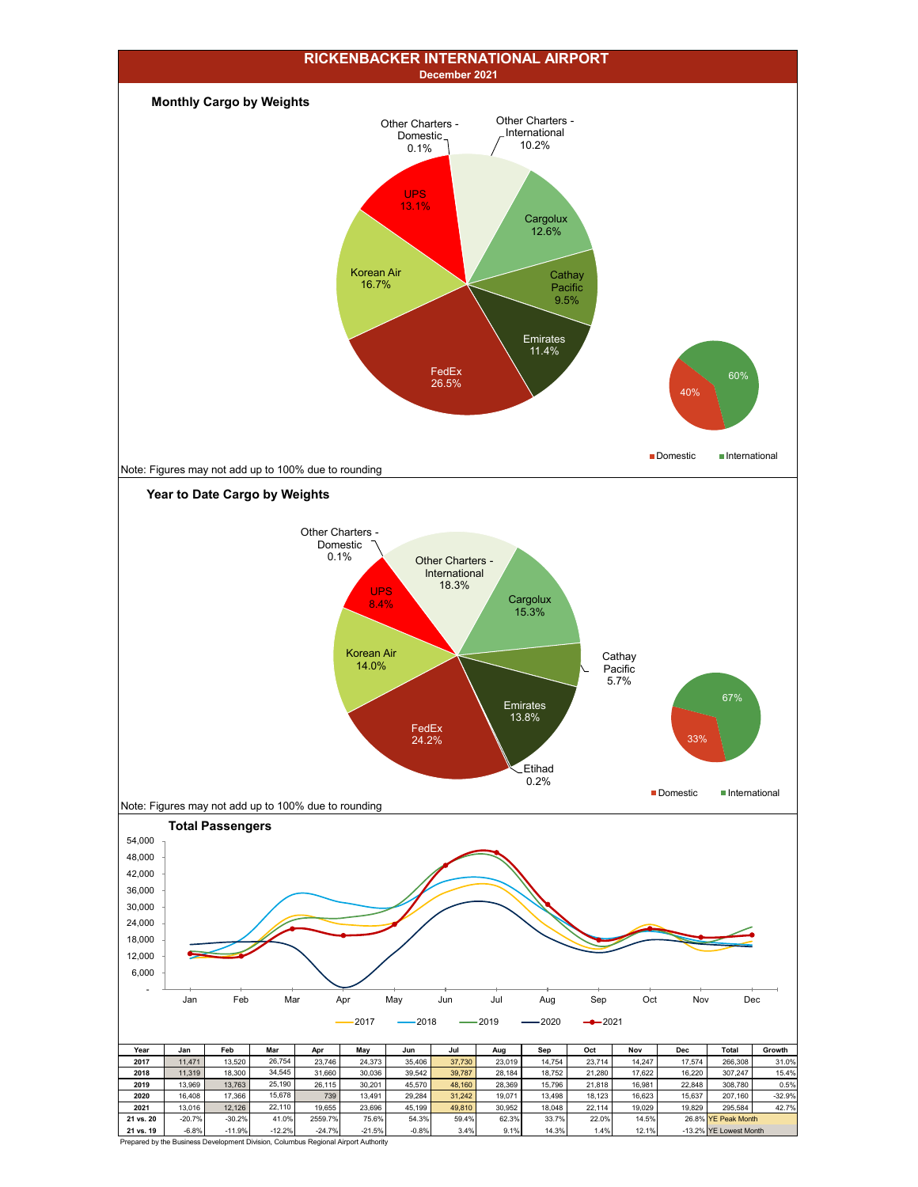

Prepared by the Business Development Division, Columbus Regional Airport Authority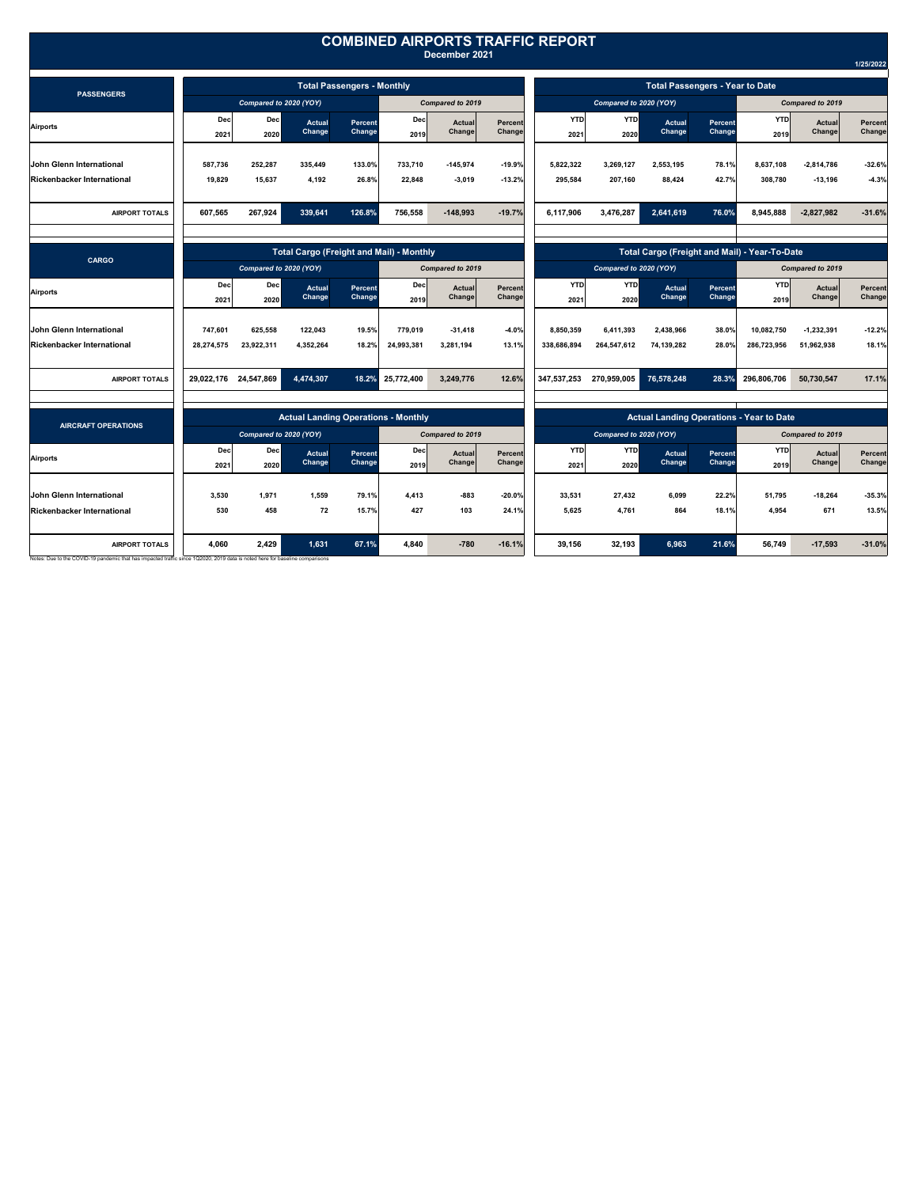|                                                                                                                                                       |                                   |                        |                                                 |                   |                    | December 2021    |                   | <b>COMBINED AIRPORTS TRAFFIC REPORT</b>         |                        |                                               |                          |                    |                  |                          |  |
|-------------------------------------------------------------------------------------------------------------------------------------------------------|-----------------------------------|------------------------|-------------------------------------------------|-------------------|--------------------|------------------|-------------------|-------------------------------------------------|------------------------|-----------------------------------------------|--------------------------|--------------------|------------------|--------------------------|--|
|                                                                                                                                                       |                                   |                        |                                                 |                   |                    |                  |                   |                                                 |                        |                                               |                          |                    |                  | 1/25/2022                |  |
| <b>PASSENGERS</b>                                                                                                                                     | <b>Total Passengers - Monthly</b> |                        |                                                 |                   |                    |                  |                   | <b>Total Passengers - Year to Date</b>          |                        |                                               |                          |                    |                  |                          |  |
|                                                                                                                                                       |                                   | Compared to 2020 (YOY) |                                                 |                   |                    | Compared to 2019 |                   |                                                 | Compared to 2020 (YOY) |                                               |                          | Compared to 2019   |                  |                          |  |
| <b>Airports</b>                                                                                                                                       | Dec<br>2021                       | Dec<br>2020            | <b>Actual</b><br>Change                         | Percent<br>Change | Dec<br>2019        | Actual<br>Change | Percent<br>Change | <b>YTD</b><br>2021                              | <b>YTD</b><br>2020     | Actual<br>Change                              | Percent<br>Change        | <b>YTD</b><br>2019 | Actual<br>Change | Percent<br>Change        |  |
| John Glenn International                                                                                                                              | 587,736                           | 252,287                | 335.449                                         | 133.0%            | 733,710            | -145,974         | $-19.9%$          | 5,822,322                                       | 3,269,127              | 2,553,195                                     | 78.1%                    | 8,637,108          | $-2,814,786$     | $-32.6%$                 |  |
| <b>Rickenbacker International</b>                                                                                                                     | 19,829                            | 15,637                 | 4.192                                           | 26.8%             | 22.848             | $-3.019$         | $-13.2%$          | 295.584                                         | 207,160                | 88,424                                        | 42.7%                    | 308,780            | $-13,196$        | $-4.3%$                  |  |
| <b>AIRPORT TOTALS</b>                                                                                                                                 | 607.565                           | 267.924                | 339.641                                         | 126.8%            | 756.558            | $-148.993$       | $-19.7%$          | 6.117.906                                       | 3,476,287              | 2,641,619                                     | 76.0%                    | 8.945.888          | $-2,827,982$     | $-31.6%$                 |  |
| <b>CARGO</b>                                                                                                                                          |                                   |                        | <b>Total Cargo (Freight and Mail) - Monthly</b> |                   |                    |                  |                   |                                                 |                        | Total Cargo (Freight and Mail) - Year-To-Date |                          |                    |                  |                          |  |
|                                                                                                                                                       | Compared to 2020 (YOY)            |                        |                                                 | Compared to 2019  |                    |                  |                   | Compared to 2020 (YOY)                          |                        | Compared to 2019                              |                          |                    |                  |                          |  |
| <b>Airports</b>                                                                                                                                       | <b>Dec</b><br>2021                | Dec<br>2020            | <b>Actual</b><br>Change                         | Percent<br>Change | <b>Dec</b><br>2019 | Actual<br>Change | Percent<br>Change | <b>YTD</b><br>2021                              | <b>YTD</b><br>2020     | Actual<br>Change                              | <b>Percent</b><br>Change | YTD<br>2019        | Actual<br>Change | <b>Percent</b><br>Change |  |
| John Glenn International                                                                                                                              | 747.601                           | 625.558                | 122,043                                         | 19.5%             | 779.019            | $-31,418$        | $-4.0%$           | 8.850.359                                       | 6.411.393              | 2.438.966                                     | 38.0%                    | 10,082,750         | $-1,232,391$     | $-12.2%$                 |  |
| <b>Rickenbacker International</b>                                                                                                                     | 28,274,575                        | 23,922,311             | 4,352,264                                       | 18.2%             | 24,993,381         | 3,281,194        | 13.1%             | 338,686,894                                     | 264,547,612            | 74,139,282                                    | 28.0%                    | 286,723,956        | 51,962,938       | 18.1%                    |  |
| <b>AIRPORT TOTALS</b>                                                                                                                                 |                                   | 29,022,176 24,547,869  | 4,474,307                                       | 18.2%             | 25,772,400         | 3,249,776        | 12.6%             | 347,537,253                                     | 270,959,005            | 76,578,248                                    | 28.3%                    | 296,806,706        | 50,730,547       | 17.1%                    |  |
|                                                                                                                                                       |                                   |                        |                                                 |                   |                    |                  |                   |                                                 |                        |                                               |                          |                    |                  |                          |  |
| <b>AIRCRAFT OPERATIONS</b>                                                                                                                            |                                   |                        | <b>Actual Landing Operations - Monthly</b>      |                   |                    |                  |                   | <b>Actual Landing Operations - Year to Date</b> |                        |                                               |                          |                    |                  |                          |  |
|                                                                                                                                                       |                                   | Compared to 2020 (YOY) |                                                 |                   | Compared to 2019   |                  |                   | Compared to 2020 (YOY)                          |                        |                                               |                          | Compared to 2019   |                  |                          |  |
| <b>Airports</b>                                                                                                                                       | Dec<br>2021                       | Dec<br>2020            | <b>Actual</b><br>Change                         | Percent<br>Change | Dec<br>2019        | Actual<br>Change | Percent<br>Change | <b>YTD</b><br>2021                              | <b>YTD</b><br>2020     | Actual<br>Change                              | <b>Percent</b><br>Change | <b>YTD</b><br>2019 | Actual<br>Change | <b>Percent</b><br>Change |  |
| John Glenn International                                                                                                                              | 3,530                             | 1.971                  | 1,559                                           | 79.1%             | 4.413              | $-883$           | $-20.0$ %         | 33,531                                          | 27,432                 | 6.099                                         | 22.2%                    | 51,795             | $-18,264$        | $-35.3%$                 |  |
| <b>Rickenbacker International</b>                                                                                                                     | 530                               | 458                    | 72                                              | 15.7%             | 427                | 103              | 24.1%             | 5,625                                           | 4,761                  | 864                                           | 18.1%                    | 4,954              | 671              | 13.5%                    |  |
| <b>AIRPORT TOTALS</b><br>Notes: Due to the COVID-19 pandemic that has impacted traffic since 1Q2020, 2019 data is noted here for baseline comparisons | 4,060                             | 2.429                  | 1,631                                           | 67.1%             | 4.840              | $-780$           | $-16.1%$          | 39.156                                          | 32.193                 | 6,963                                         | 21.6%                    | 56.749             | $-17,593$        | $-31.0%$                 |  |